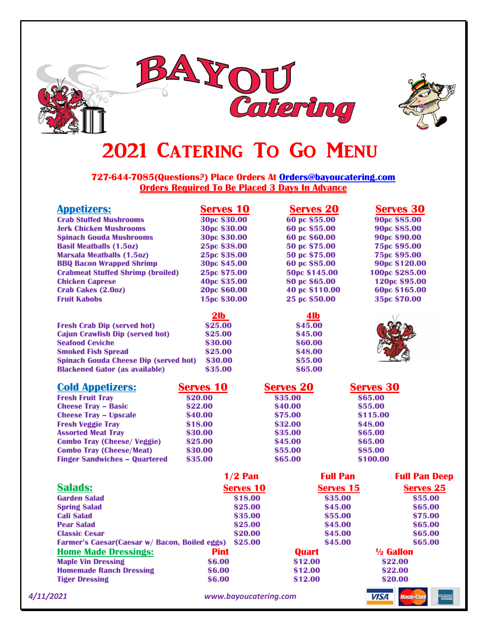



# 2021 CATERING TO GO MENU

**727-644-7085(Questions?) Place Orders At [Orders@bayoucatering.com](mailto:Orders@bayoucatering.com) Orders Required To Be Placed 3 Days In Advance**

| <b>Appetizers:</b>                                   | <b>Serves 10</b>      | <b>Serves 20</b> | <b>Serves 30</b>                        |  |
|------------------------------------------------------|-----------------------|------------------|-----------------------------------------|--|
| <b>Crab Stuffed Mushrooms</b>                        | 30pc \$30.00          | 60 pc \$55.00    | 90pc \$85.00                            |  |
| <b>Jerk Chicken Mushrooms</b>                        | 30pc \$30.00          | 60 pc \$55.00    | 90pc \$85.00                            |  |
| <b>Spinach Gouda Mushrooms</b>                       | 30pc \$30.00          | 60 pc \$60.00    | 90pc \$90.00                            |  |
| <b>Basil Meatballs (1.5oz)</b>                       | 25pc \$38.00          | 50 pc \$75.00    | <b>75pc \$95.00</b>                     |  |
| <b>Marsala Meatballs (1.5oz)</b>                     | 25pc \$38.00          | 50 pc \$75.00    | <b>75pc \$95.00</b>                     |  |
| <b>BBQ Bacon Wrapped Shrimp</b>                      | <b>30pc \$45.00</b>   | 60 pc \$85.00    | 90pc \$120.00                           |  |
| <b>Crabmeat Stuffed Shrimp (broiled)</b>             | 25pc \$75.00          | 50pc \$145.00    | 100pc \$285.00                          |  |
| <b>Chicken Caprese</b>                               | 40pc \$35.00          | 80 pc \$65.00    | 120pc \$95.00                           |  |
| <b>Crab Cakes (2.00Z)</b>                            | 20pc \$60.00          | 40 pc \$110.00   | 60pc \$165.00                           |  |
| <b>Fruit Kabobs</b>                                  | 15pc \$30.00          | 25 pc \$50.00    | 35pc \$70.00                            |  |
|                                                      | 2 <sub>lb</sub>       | 4lb              |                                         |  |
| <b>Fresh Crab Dip (served hot)</b>                   | \$25.00               | \$45.00          |                                         |  |
| <b>Cajun Crawfish Dip (served hot)</b>               | \$25.00               | \$45.00          |                                         |  |
| <b>Seafood Ceviche</b>                               | \$30.00               | \$60.00          |                                         |  |
| <b>Smoked Fish Spread</b>                            | \$25.00               | \$48.00          |                                         |  |
| <b>Spinach Gouda Cheese Dip (served hot)</b>         | \$30.00               | \$55.00          |                                         |  |
| <b>Blackened Gator (as available)</b>                | \$35.00               | \$65.00          |                                         |  |
| <b>Cold Appetizers:</b>                              | <b>Serves 10</b>      | <b>Serves 20</b> | <b>Serves 30</b>                        |  |
| <b>Fresh Fruit Tray</b>                              | \$20.00               | \$35.00          | \$65.00                                 |  |
| <b>Cheese Tray - Basic</b>                           | \$22.00               | \$40.00          | \$55.00                                 |  |
| <b>Cheese Tray - Upscale</b>                         | \$40.00               | \$75.00          | \$115.00                                |  |
| <b>Fresh Veggie Tray</b>                             | \$18.00               | \$32.00          | \$48.00                                 |  |
| <b>Assorted Meat Tray</b>                            | \$30.00               | \$35.00          | \$65.00                                 |  |
| <b>Combo Tray (Cheese/Veggie)</b>                    | \$25.00               | \$45.00          | \$65.00                                 |  |
| <b>Combo Tray (Cheese/Meat)</b>                      | \$30.00               | \$55.00          | \$85.00                                 |  |
| <b>Finger Sandwiches - Quartered</b>                 | \$35.00               | \$65.00          | \$100.00                                |  |
|                                                      | $1/2$ Pan             |                  | <b>Full Pan</b><br><b>Full Pan Deep</b> |  |
| <b>Salads:</b>                                       | <b>Serves 10</b>      |                  | <b>Serves 15</b><br><b>Serves 25</b>    |  |
| <b>Garden Salad</b>                                  | \$18.00               |                  | \$35.00<br>\$55.00                      |  |
| <b>Spring Salad</b>                                  | \$25.00               |                  | \$45.00<br>\$65.00                      |  |
| <b>Cali Salad</b>                                    | \$35.00               |                  | \$55.00<br>\$75.00                      |  |
| <b>Pear Salad</b>                                    | \$25.00               |                  | \$45.00<br>\$65.00                      |  |
| <b>Classic Cesar</b>                                 | \$20.00               |                  | \$45.00<br>\$65.00                      |  |
| <b>Farmer's Caesar(Caesar w/ Bacon, Boiled eggs)</b> | \$25.00               |                  | \$45.00<br>\$65.00                      |  |
| <b>Home Made Dressings:</b>                          | <b>Pint</b>           | <b>Quart</b>     | 1/ <sub>2</sub> Gallon                  |  |
| <b>Maple Vin Dressing</b>                            | \$6.00                | \$12.00          | \$22.00                                 |  |
| <b>Homemade Ranch Dressing</b>                       | \$6.00                | \$12.00          | \$22.00                                 |  |
| <b>Tiger Dressing</b>                                | \$6.00                | \$12.00          | \$20.00                                 |  |
| 4/11/2021                                            | www.bayoucatering.com |                  | <b>VISA</b><br><b>MasterCard</b>        |  |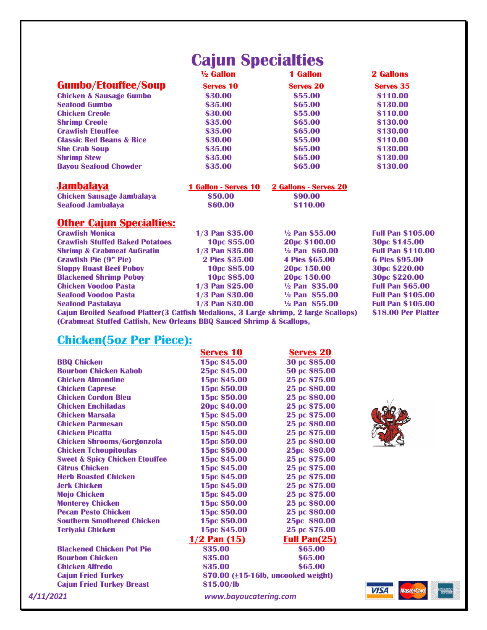# **Cajun Specialties**

|                                     | $\frac{1}{2}$ Gallon | <b>1 Gallon</b>  | <b>2 Gallons</b> |
|-------------------------------------|----------------------|------------------|------------------|
| <b>Gumbo/Etouffee/Soup</b>          | <b>Serves 10</b>     | <b>Serves 20</b> | <b>Serves 35</b> |
| <b>Chicken &amp; Sausage Gumbo</b>  | \$30.00              | \$55.00          | \$110.00         |
| <b>Seafood Gumbo</b>                | \$35.00              | \$65.00          | \$130.00         |
| <b>Chicken Creole</b>               | \$30.00              | \$55.00          | \$110.00         |
| <b>Shrimp Creole</b>                | \$35.00              | \$65.00          | \$130.00         |
| <b>Crawfish Etouffee</b>            | \$35.00              | \$65.00          | \$130.00         |
| <b>Classic Red Beans &amp; Rice</b> | \$30.00              | \$55.00          | \$110.00         |
| <b>She Crab Soup</b>                | \$35.00              | \$65.00          | \$130.00         |
| <b>Shrimp Stew</b>                  | \$35.00              | \$65.00          | \$130.00         |
| <b>Bayou Seafood Chowder</b>        | \$35.00              | \$65.00          | \$130.00         |

| <b>Jambalaya</b>                 | <b>1 Gallon - Serves 10</b> | 2 Gallons - Serves 20 |  |
|----------------------------------|-----------------------------|-----------------------|--|
| <b>Chicken Sausage Jambalaya</b> | \$50.00                     | \$90.00               |  |
| <b>Seafood Jambalaya</b>         | \$60.00                     | \$110.00              |  |

## **Other Cajun Specialties:**

| <b>Crawfish Monica</b>                                                               | 1/3 Pan \$35.00        | $\frac{1}{2}$ Pan \$55.00 | <b>Full Pan \$105.00</b> |
|--------------------------------------------------------------------------------------|------------------------|---------------------------|--------------------------|
| <b>Crawfish Stuffed Baked Potatoes</b>                                               | 10pc \$55.00           | 20pc \$100.00             | 30pc \$145.00            |
| <b>Shrimp &amp; Crabmeat AuGratin</b>                                                | 1/3 Pan \$35.00        | $\frac{1}{2}$ Pan \$60.00 | <b>Full Pan \$110.00</b> |
| <b>Crawfish Pie (9" Pie)</b>                                                         | 2 Pies \$35.00         | <b>4 Pies \$65.00</b>     | <b>6 Pies \$95.00</b>    |
| <b>Sloppy Roast Beef Poboy</b>                                                       | 10pc \$85.00           | 20pc 150.00               | 30pc \$220.00            |
| <b>Blackened Shrimp Poboy</b>                                                        | 10pc \$85.00           | 20pc 150.00               | 30pc \$220.00            |
| <b>Chicken Voodoo Pasta</b>                                                          | <b>1/3 Pan \$25.00</b> | $\frac{1}{2}$ Pan \$35.00 | <b>Full Pan \$65.00</b>  |
| <b>Seafood Voodoo Pasta</b>                                                          | 1/3 Pan \$30.00        | $\frac{1}{2}$ Pan \$55.00 | <b>Full Pan \$105.00</b> |
| <b>Seafood Pastalaya</b>                                                             | 1/3 Pan \$30.00        | $\frac{1}{2}$ Pan \$55.00 | <b>Full Pan \$105.00</b> |
| Cajun Broiled Seafood Platter(3 Catfish Medalions, 3 Large shrimp, 2 large Scallops) |                        |                           | \$18.00 Per Platter      |
| (Crabmeat Stuffed Catfish, New Orleans BBQ Sauced Shrimp & Scallops,                 |                        |                           |                          |

# **Chicken(5oz Per Piece):**

|                                           | <b>Serves 10</b>                            | <b>Serves 20</b>    |
|-------------------------------------------|---------------------------------------------|---------------------|
| <b>BBO Chicken</b>                        | 15pc \$45.00                                | 30 pc \$85.00       |
| <b>Bourbon Chicken Kabob</b>              | 25pc \$45.00                                | 50 pc \$85.00       |
| <b>Chicken Almondine</b>                  | 15pc \$45.00                                | 25 pc \$75.00       |
| <b>Chicken Caprese</b>                    | 15pc \$50.00                                | 25 pc \$80.00       |
| <b>Chicken Cordon Rleu</b>                | 15pc \$50.00                                | 25 pc \$80.00       |
| <b>Chicken Fnchiladas</b>                 | 20pc \$40.00                                | 25 pc \$75.00       |
| <b>Chicken Marsala</b>                    | 15pc \$45.00                                | 25 pc \$75.00       |
| <b>Chicken Parmesan</b>                   | 15pc \$50.00                                | 25 pc \$80.00       |
| <b>Chicken Picatta</b>                    | 15pc \$45.00                                | 25 pc \$75.00       |
| <b>Chicken Shrooms/Gorgonzola</b>         | 15pc \$50.00                                | 25 pc \$80.00       |
| <b>Chicken Tchoupitoulas</b>              | 15pc \$50.00                                | 25pc \$80.00        |
| <b>Sweet &amp; Spicy Chicken Etouffee</b> | 15pc \$45.00                                | 25 pc \$75.00       |
| <b>Citrus Chicken</b>                     | 15pc \$45.00                                | 25 pc \$75.00       |
| <b>Herb Roasted Chicken</b>               | 15pc \$45.00                                | 25 pc \$75.00       |
| <b>Jerk Chicken</b>                       | 15pc \$45.00                                | 25 pc \$75.00       |
| <b>Mojo Chicken</b>                       | 15pc \$45.00                                | 25 pc \$75.00       |
| <b>Monterey Chicken</b>                   | 15pc \$50.00                                | 25 pc \$80.00       |
| <b>Pecan Pesto Chicken</b>                | 15pc \$50.00                                | 25 pc \$80.00       |
| <b>Southern Smothered Chicken</b>         | 15pc \$50.00                                | 25pc \$80.00        |
| <b>Terivaki Chicken</b>                   | 15pc \$45.00                                | 25 pc \$75.00       |
|                                           | $1/2$ Pan $(15)$                            | <b>Full Pan(25)</b> |
| <b>Blackened Chicken Pot Pie</b>          | \$35.00                                     | \$65.00             |
| <b>Bourbon Chicken</b>                    | \$35.00                                     | \$65.00             |
| <b>Chicken Alfredo</b>                    | \$35.00                                     | \$65.00             |
| <b>Cajun Fried Turkey</b>                 | $$70.00$ ( $\pm 15$ -16lb, uncooked weight) |                     |
| <b>Cajun Fried Turkey Breast</b>          | \$15.00/lb                                  |                     |
| 4/11/2021                                 | www.bayoucatering.com                       |                     |



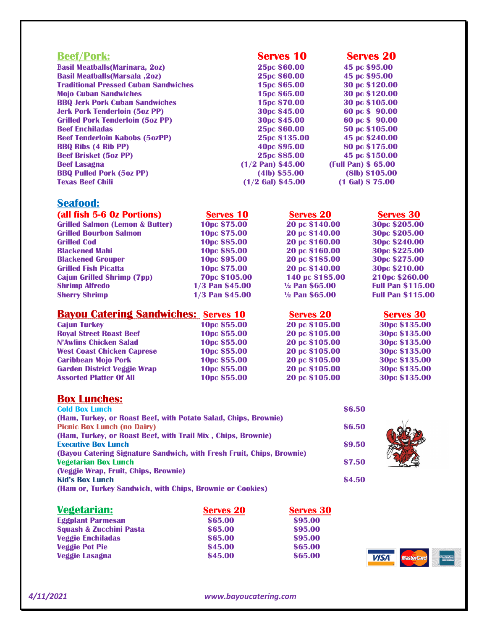| <b>Beef/Pork:</b>                           | <b>Serves 10</b>         | <b>Serves 20</b>    |
|---------------------------------------------|--------------------------|---------------------|
| <b>Basil Meatballs (Marinara, 202)</b>      | 25pc \$60.00             | 45 pc \$95.00       |
| <b>Basil Meatballs (Marsala, 202)</b>       | 25pc \$60.00             | 45 pc \$95.00       |
| <b>Traditional Pressed Cuban Sandwiches</b> | 15pc \$65.00             | 30 pc \$120.00      |
| <b>Mojo Cuban Sandwiches</b>                | 15pc \$65.00             | 30 pc \$120.00      |
| <b>BBQ Jerk Pork Cuban Sandwiches</b>       | 15pc \$70.00             | 30 pc \$105.00      |
| <b>Jerk Pork Tenderloin (5oz PP)</b>        | 30pc \$45.00             | 60 pc \$ 90.00      |
| <b>Grilled Pork Tenderloin (5oz PP)</b>     | 30pc \$45.00             | 60 pc \$ 90.00      |
| <b>Beef Enchiladas</b>                      | 25pc \$60.00             | 50 pc \$105.00      |
| <b>Beef Tenderloin Kabobs (5ozPP)</b>       | 25pc \$135.00            | 45 pc \$240.00      |
| <b>BBQ Ribs (4 Rib PP)</b>                  | 40 <sub>pc</sub> \$95.00 | 80 pc \$175.00      |
| <b>Beef Brisket (5oz PP)</b>                | 25pc \$85.00             | 45 pc \$150.00      |
| <b>Beef Lasagna</b>                         | $(1/2$ Pan) \$45.00      | (Full Pan) \$ 65.00 |
| <b>BBQ Pulled Pork (5oz PP)</b>             | $(41b)$ \$55.00          | (8Ib) \$105.00      |
| <b>Texas Beef Chili</b>                     | $(1/2)$ Gal) \$45.00     | Gal) \$75.00        |

## **Seafood:**

| (all fish 5-6 Oz Portions)                 | <b>Serves 10</b>         | <b>Serves 20</b>          | <b>Serves 30</b>         |
|--------------------------------------------|--------------------------|---------------------------|--------------------------|
| <b>Grilled Salmon (Lemon &amp; Butter)</b> | 10pc \$75.00             | 20 pc \$140.00            | 30pc \$205.00            |
| <b>Grilled Bourbon Salmon</b>              | 10pc \$75.00             | 20 pc \$140.00            | 30pc \$205.00            |
| <b>Grilled Cod</b>                         | 10pc \$85.00             | 20 pc \$160.00            | 30pc \$240.00            |
| <b>Blackened Mahi</b>                      | 10pc \$85.00             | 20 pc \$160.00            | 30pc \$225.00            |
| <b>Blackened Grouper</b>                   | 10 <sub>pc</sub> \$95.00 | 20 pc \$185.00            | 30pc \$275.00            |
| <b>Grilled Fish Picatta</b>                | 10pc \$75.00             | 20 pc \$140.00            | 30pc \$210.00            |
| <b>Cajun Grilled Shrimp (7pp)</b>          | <b>70pc \$105.00</b>     | 140 pc \$185.00           | 210pc \$260.00           |
| <b>Shrimp Alfredo</b>                      | 1/3 Pan \$45.00          | $\frac{1}{2}$ Pan \$65.00 | <b>Full Pan \$115.00</b> |
| <b>Sherry Shrimp</b>                       | 1/3 Pan \$45.00          | $\frac{1}{2}$ Pan \$65.00 | <b>Full Pan \$115.00</b> |

| <b>Bayou Catering Sandwiches: Serves 10</b> |              | <b>Serves 20</b> | <b>Serves 30</b> |
|---------------------------------------------|--------------|------------------|------------------|
| <b>Cajun Turkey</b>                         | 10pc \$55.00 | 20 pc \$105.00   | 30pc \$135.00    |
| <b>Royal Street Roast Beef</b>              | 10pc \$55.00 | 20 pc \$105.00   | 30pc \$135.00    |
| <b>N'Awlins Chicken Salad</b>               | 10pc \$55.00 | 20 pc \$105.00   | 30pc \$135.00    |
| <b>West Coast Chicken Caprese</b>           | 10pc \$55.00 | 20 pc \$105.00   | 30pc \$135.00    |
| <b>Caribbean Mojo Pork</b>                  | 10pc \$55.00 | 20 pc \$105.00   | 30pc \$135.00    |
| <b>Garden District Veggie Wrap</b>          | 10pc \$55.00 | 20 pc \$105.00   | 30pc \$135.00    |
| <b>Assorted Platter Of All</b>              | 10pc \$55.00 | 20 pc \$105.00   | 30pc \$135.00    |

## **Box Lunches:**

| <b>Cold Box Lunch</b>                                                 | \$6.50 |
|-----------------------------------------------------------------------|--------|
| (Ham, Turkey, or Roast Beef, with Potato Salad, Chips, Brownie)       |        |
| <b>Picnic Box Lunch (no Dairy)</b>                                    | \$6.50 |
| (Ham, Turkey, or Roast Beef, with Trail Mix, Chips, Brownie)          |        |
| <b>Executive Box Lunch</b>                                            | \$9.50 |
| (Bayou Catering Signature Sandwich, with Fresh Fruit, Chips, Brownie) |        |
| <b>Vegetarian Box Lunch</b>                                           | \$7.50 |
| (Veggie Wrap, Fruit, Chips, Brownie)                                  |        |
| <b>Kid's Box Lunch</b>                                                | \$4.50 |
| (Ham or, Turkey Sandwich, with Chips, Brownie or Cookies)             |        |

| <b>Vegetarian:</b>                 | <b>Serves 20</b> | <b>Serves 30</b> |
|------------------------------------|------------------|------------------|
| <b>Eggplant Parmesan</b>           | \$65.00          | \$95.00          |
| <b>Squash &amp; Zucchini Pasta</b> | \$65.00          | \$95.00          |
| <b>Veggie Enchiladas</b>           | \$65.00          | \$95.00          |
| <b>Veggie Pot Pie</b>              | \$45.00          | \$65.00          |
| <b>Veggie Lasagna</b>              | \$45.00          | \$65.00          |



*4/11/2021 www.bayoucatering.com*